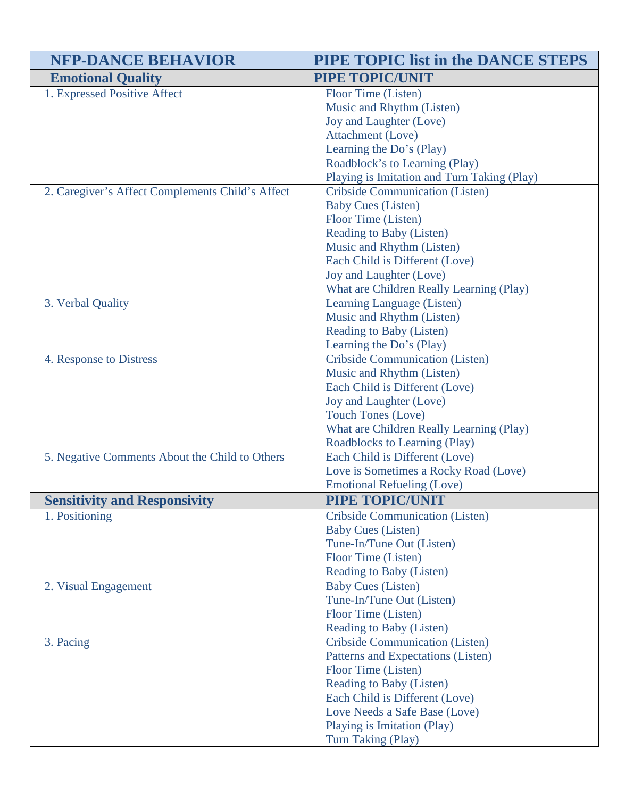| <b>NFP-DANCE BEHAVIOR</b>                        | <b>PIPE TOPIC list in the DANCE STEPS</b>   |
|--------------------------------------------------|---------------------------------------------|
| <b>Emotional Quality</b>                         | <b>PIPE TOPIC/UNIT</b>                      |
| 1. Expressed Positive Affect                     | Floor Time (Listen)                         |
|                                                  | Music and Rhythm (Listen)                   |
|                                                  | Joy and Laughter (Love)                     |
|                                                  | Attachment (Love)                           |
|                                                  | Learning the Do's (Play)                    |
|                                                  | Roadblock's to Learning (Play)              |
|                                                  | Playing is Imitation and Turn Taking (Play) |
| 2. Caregiver's Affect Complements Child's Affect | <b>Cribside Communication (Listen)</b>      |
|                                                  | <b>Baby Cues (Listen)</b>                   |
|                                                  | Floor Time (Listen)                         |
|                                                  | Reading to Baby (Listen)                    |
|                                                  | Music and Rhythm (Listen)                   |
|                                                  | Each Child is Different (Love)              |
|                                                  | Joy and Laughter (Love)                     |
|                                                  | What are Children Really Learning (Play)    |
| 3. Verbal Quality                                | Learning Language (Listen)                  |
|                                                  | Music and Rhythm (Listen)                   |
|                                                  | Reading to Baby (Listen)                    |
|                                                  | Learning the Do's (Play)                    |
| 4. Response to Distress                          | <b>Cribside Communication (Listen)</b>      |
|                                                  | Music and Rhythm (Listen)                   |
|                                                  | Each Child is Different (Love)              |
|                                                  | Joy and Laughter (Love)                     |
|                                                  | <b>Touch Tones (Love)</b>                   |
|                                                  | What are Children Really Learning (Play)    |
|                                                  | Roadblocks to Learning (Play)               |
| 5. Negative Comments About the Child to Others   | Each Child is Different (Love)              |
|                                                  | Love is Sometimes a Rocky Road (Love)       |
|                                                  | <b>Emotional Refueling (Love)</b>           |
| <b>Sensitivity and Responsivity</b>              | PIPE TOPIC/UNIT                             |
| 1. Positioning                                   | Cribside Communication (Listen)             |
|                                                  | <b>Baby Cues (Listen)</b>                   |
|                                                  | Tune-In/Tune Out (Listen)                   |
|                                                  | Floor Time (Listen)                         |
|                                                  | Reading to Baby (Listen)                    |
| 2. Visual Engagement                             | <b>Baby Cues (Listen)</b>                   |
|                                                  | Tune-In/Tune Out (Listen)                   |
|                                                  | Floor Time (Listen)                         |
|                                                  | Reading to Baby (Listen)                    |
| 3. Pacing                                        | <b>Cribside Communication (Listen)</b>      |
|                                                  | Patterns and Expectations (Listen)          |
|                                                  | Floor Time (Listen)                         |
|                                                  | Reading to Baby (Listen)                    |
|                                                  | Each Child is Different (Love)              |
|                                                  | Love Needs a Safe Base (Love)               |
|                                                  | Playing is Imitation (Play)                 |
|                                                  | Turn Taking (Play)                          |